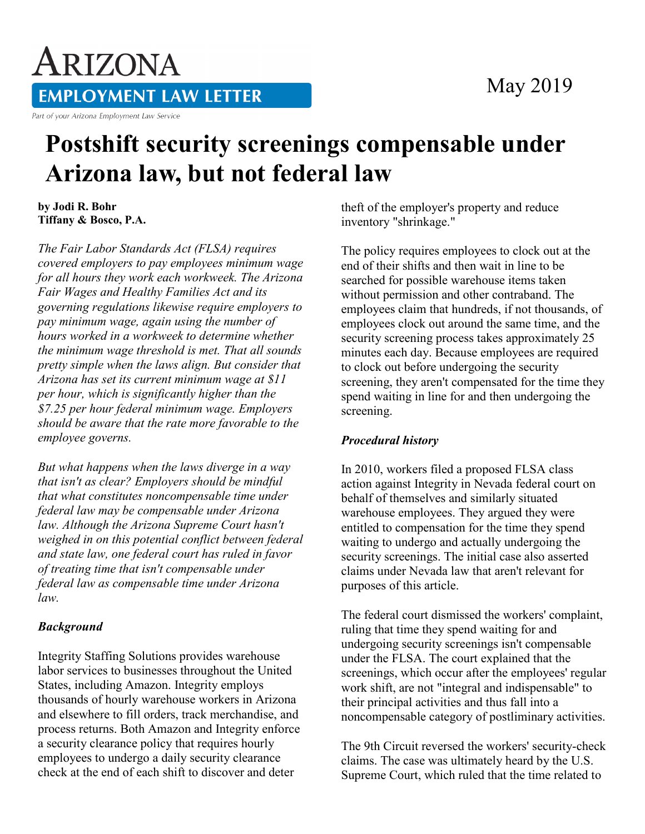### May 2019

# ARIZONA **EMPLOYMENT LAW LETTER**

Part of your Arizona Employment Law Service

## **Postshift security screenings compensable under Arizona law, but not federal law**

**by Jodi R. Bohr Tiffany & Bosco, P.A.** 

*The Fair Labor Standards Act (FLSA) requires covered employers to pay employees minimum wage for all hours they work each workweek. The Arizona Fair Wages and Healthy Families Act and its governing regulations likewise require employers to pay minimum wage, again using the number of hours worked in a workweek to determine whether the minimum wage threshold is met. That all sounds pretty simple when the laws align. But consider that Arizona has set its current minimum wage at \$11 per hour, which is significantly higher than the \$7.25 per hour federal minimum wage. Employers should be aware that the rate more favorable to the employee governs.*

*But what happens when the laws diverge in a way that isn't as clear? Employers should be mindful that what constitutes noncompensable time under federal law may be compensable under Arizona law. Although the Arizona Supreme Court hasn't weighed in on this potential conflict between federal and state law, one federal court has ruled in favor of treating time that isn't compensable under federal law as compensable time under Arizona law.*

#### *Background*

Integrity Staffing Solutions provides warehouse labor services to businesses throughout the United States, including Amazon. Integrity employs thousands of hourly warehouse workers in Arizona and elsewhere to fill orders, track merchandise, and process returns. Both Amazon and Integrity enforce a security clearance policy that requires hourly employees to undergo a daily security clearance check at the end of each shift to discover and deter

theft of the employer's property and reduce inventory "shrinkage."

The policy requires employees to clock out at the end of their shifts and then wait in line to be searched for possible warehouse items taken without permission and other contraband. The employees claim that hundreds, if not thousands, of employees clock out around the same time, and the security screening process takes approximately 25 minutes each day. Because employees are required to clock out before undergoing the security screening, they aren't compensated for the time they spend waiting in line for and then undergoing the screening.

#### *Procedural history*

In 2010, workers filed a proposed FLSA class action against Integrity in Nevada federal court on behalf of themselves and similarly situated warehouse employees. They argued they were entitled to compensation for the time they spend waiting to undergo and actually undergoing the security screenings. The initial case also asserted claims under Nevada law that aren't relevant for purposes of this article.

The federal court dismissed the workers' complaint, ruling that time they spend waiting for and undergoing security screenings isn't compensable under the FLSA. The court explained that the screenings, which occur after the employees' regular work shift, are not "integral and indispensable" to their principal activities and thus fall into a noncompensable category of postliminary activities.

The 9th Circuit reversed the workers' security-check claims. The case was ultimately heard by the U.S. Supreme Court, which ruled that the time related to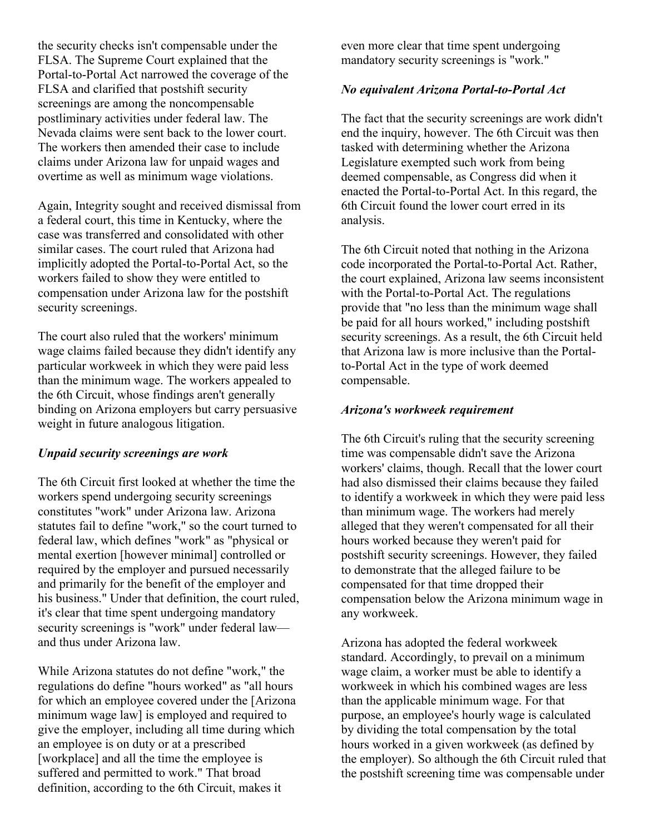the security checks isn't compensable under the FLSA. The Supreme Court explained that the Portal-to-Portal Act narrowed the coverage of the FLSA and clarified that postshift security screenings are among the noncompensable postliminary activities under federal law. The Nevada claims were sent back to the lower court. The workers then amended their case to include claims under Arizona law for unpaid wages and overtime as well as minimum wage violations.

Again, Integrity sought and received dismissal from a federal court, this time in Kentucky, where the case was transferred and consolidated with other similar cases. The court ruled that Arizona had implicitly adopted the Portal-to-Portal Act, so the workers failed to show they were entitled to compensation under Arizona law for the postshift security screenings.

The court also ruled that the workers' minimum wage claims failed because they didn't identify any particular workweek in which they were paid less than the minimum wage. The workers appealed to the 6th Circuit, whose findings aren't generally binding on Arizona employers but carry persuasive weight in future analogous litigation.

#### *Unpaid security screenings are work*

The 6th Circuit first looked at whether the time the workers spend undergoing security screenings constitutes "work" under Arizona law. Arizona statutes fail to define "work," so the court turned to federal law, which defines "work" as "physical or mental exertion [however minimal] controlled or required by the employer and pursued necessarily and primarily for the benefit of the employer and his business." Under that definition, the court ruled, it's clear that time spent undergoing mandatory security screenings is "work" under federal law and thus under Arizona law.

While Arizona statutes do not define "work," the regulations do define "hours worked" as "all hours for which an employee covered under the [Arizona minimum wage law] is employed and required to give the employer, including all time during which an employee is on duty or at a prescribed [workplace] and all the time the employee is suffered and permitted to work." That broad definition, according to the 6th Circuit, makes it

even more clear that time spent undergoing mandatory security screenings is "work."

#### *No equivalent Arizona Portal-to-Portal Act*

The fact that the security screenings are work didn't end the inquiry, however. The 6th Circuit was then tasked with determining whether the Arizona Legislature exempted such work from being deemed compensable, as Congress did when it enacted the Portal-to-Portal Act. In this regard, the 6th Circuit found the lower court erred in its analysis.

The 6th Circuit noted that nothing in the Arizona code incorporated the Portal-to-Portal Act. Rather, the court explained, Arizona law seems inconsistent with the Portal-to-Portal Act. The regulations provide that "no less than the minimum wage shall be paid for all hours worked," including postshift security screenings. As a result, the 6th Circuit held that Arizona law is more inclusive than the Portalto-Portal Act in the type of work deemed compensable.

#### *Arizona's workweek requirement*

The 6th Circuit's ruling that the security screening time was compensable didn't save the Arizona workers' claims, though. Recall that the lower court had also dismissed their claims because they failed to identify a workweek in which they were paid less than minimum wage. The workers had merely alleged that they weren't compensated for all their hours worked because they weren't paid for postshift security screenings. However, they failed to demonstrate that the alleged failure to be compensated for that time dropped their compensation below the Arizona minimum wage in any workweek.

Arizona has adopted the federal workweek standard. Accordingly, to prevail on a minimum wage claim, a worker must be able to identify a workweek in which his combined wages are less than the applicable minimum wage. For that purpose, an employee's hourly wage is calculated by dividing the total compensation by the total hours worked in a given workweek (as defined by the employer). So although the 6th Circuit ruled that the postshift screening time was compensable under